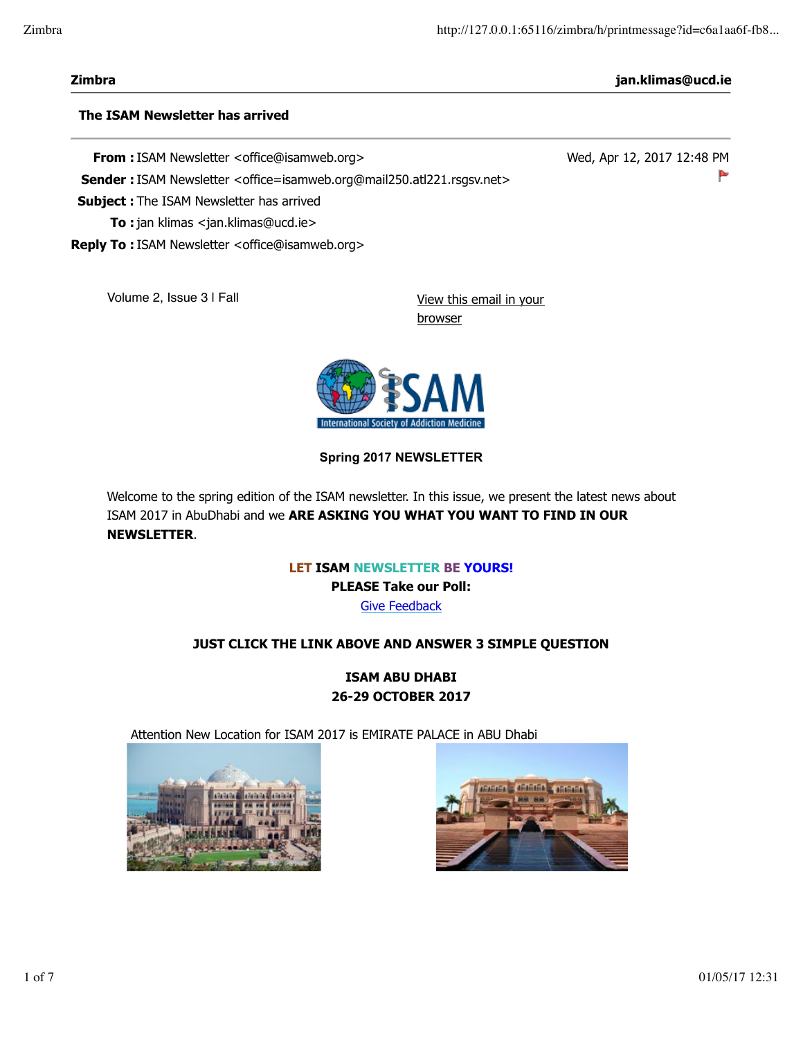**Zimbra jan.klimas@ucd.ie**

►

Wed, Apr 12, 2017 12:48 PM

#### **The ISAM Newsletter has arrived**

**From :** ISAM Newsletter <office@isamweb.org>

Sender : ISAM Newsletter <office=isamweb.org@mail250.atl221.rsgsv.net>

**Subject :** The ISAM Newsletter has arrived

**To :** jan klimas <jan.klimas@ucd.ie>

**Reply To :** ISAM Newsletter <office@isamweb.org>

Volume 2, Issue 3 | Fall View this email in your

browser



**Spring 2017 NEWSLETTER**

Welcome to the spring edition of the ISAM newsletter. In this issue, we present the latest news about ISAM 2017 in AbuDhabi and we **ARE ASKING YOU WHAT YOU WANT TO FIND IN OUR NEWSLETTER**.

> **LET ISAM NEWSLETTER BE YOURS! PLEASE Take our Poll:** Give Feedback

## **JUST CLICK THE LINK ABOVE AND ANSWER 3 SIMPLE QUESTION**

**ISAM ABU DHABI 26-29 OCTOBER 2017**

Attention New Location for ISAM 2017 is EMIRATE PALACE in ABU Dhabi



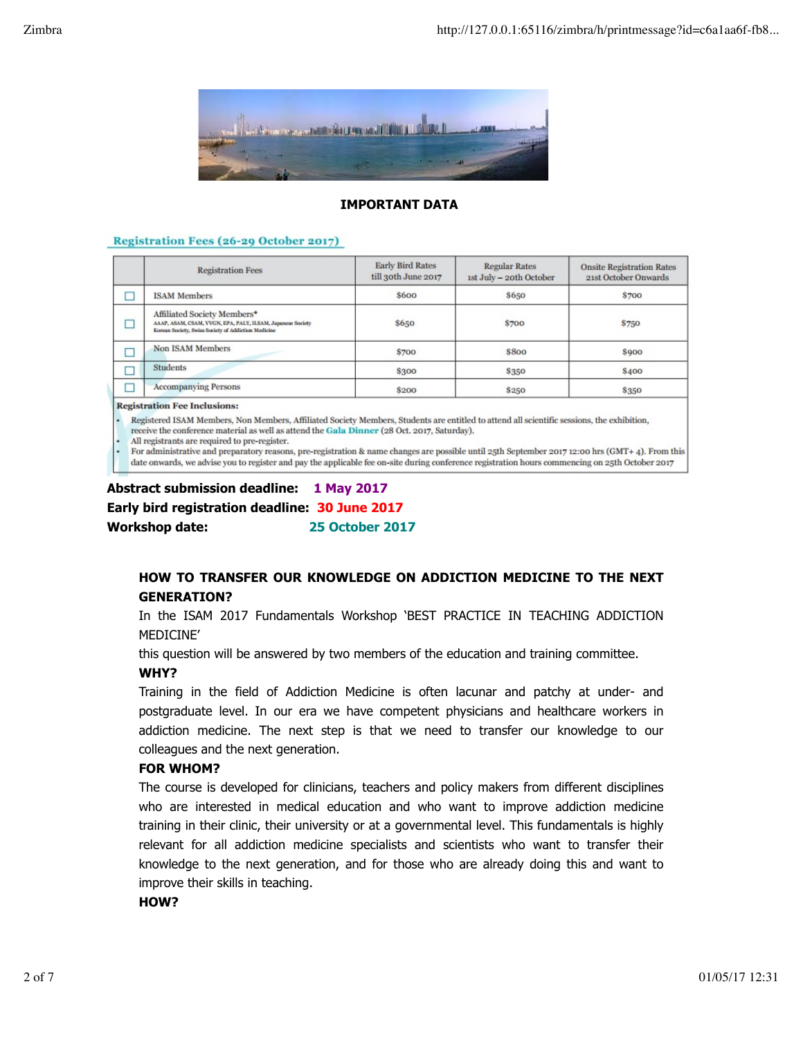

#### **IMPORTANT DATA**

#### Registration Fees (26-29 October 2017)

| <b>Registration Fees</b>                                                                                                                         | <b>Early Bird Rates</b><br>till 30th June 2017 | <b>Regular Rates</b><br>1st July - 20th October | <b>Onsite Registration Rates</b><br>21st October Onwards |
|--------------------------------------------------------------------------------------------------------------------------------------------------|------------------------------------------------|-------------------------------------------------|----------------------------------------------------------|
| <b>ISAM Members</b>                                                                                                                              | \$600                                          | <b>\$650</b>                                    | <b>\$700</b>                                             |
| Affiliated Society Members*<br>AAAP, ASAM, CSAM, VVGN, EPA, PALY, ILSAM, Japanese Society<br>Korean Society, Swiss Society of Addiction Medicine | \$650                                          | \$700                                           | \$750                                                    |
| <b>Non ISAM Members</b>                                                                                                                          | \$700                                          | <b>\$800</b>                                    | <b>S900</b>                                              |
| <b>Students</b>                                                                                                                                  | \$300                                          | <b>\$350</b>                                    | <b>\$400</b>                                             |
| <b>Accompanying Persons</b>                                                                                                                      | \$200                                          | <b>\$250</b>                                    | <b>\$350</b>                                             |

**Registration Fee Inclusions:** 

· Registered ISAM Members, Non Members, Affiliated Society Members, Students are entitled to attend all scientific sessions, the exhibition. receive the conference material as well as attend the Gala Dinner (28 Oct. 2017, Saturday).

All registrants are required to pre-register.

For administrative and preparatory reasons, pre-registration & name changes are possible until 25th September 2017 12:00 hrs (GMT+ 4). From this date onwards, we advise you to register and pay the applicable fee on-site during conference registration hours commencing on 25th October 2017

## **Abstract submission deadline: 1 May 2017 Early bird registration deadline: 30 June 2017 Workshop date: 25 October 2017**

## **HOW TO TRANSFER OUR KNOWLEDGE ON ADDICTION MEDICINE TO THE NEXT GENERATION?**

In the ISAM 2017 Fundamentals Workshop 'BEST PRACTICE IN TEACHING ADDICTION MEDICINE'

this question will be answered by two members of the education and training committee.

#### **WHY?**

Training in the field of Addiction Medicine is often lacunar and patchy at under- and postgraduate level. In our era we have competent physicians and healthcare workers in addiction medicine. The next step is that we need to transfer our knowledge to our colleagues and the next generation.

#### **FOR WHOM?**

The course is developed for clinicians, teachers and policy makers from different disciplines who are interested in medical education and who want to improve addiction medicine training in their clinic, their university or at a governmental level. This fundamentals is highly relevant for all addiction medicine specialists and scientists who want to transfer their knowledge to the next generation, and for those who are already doing this and want to improve their skills in teaching.

#### **HOW?**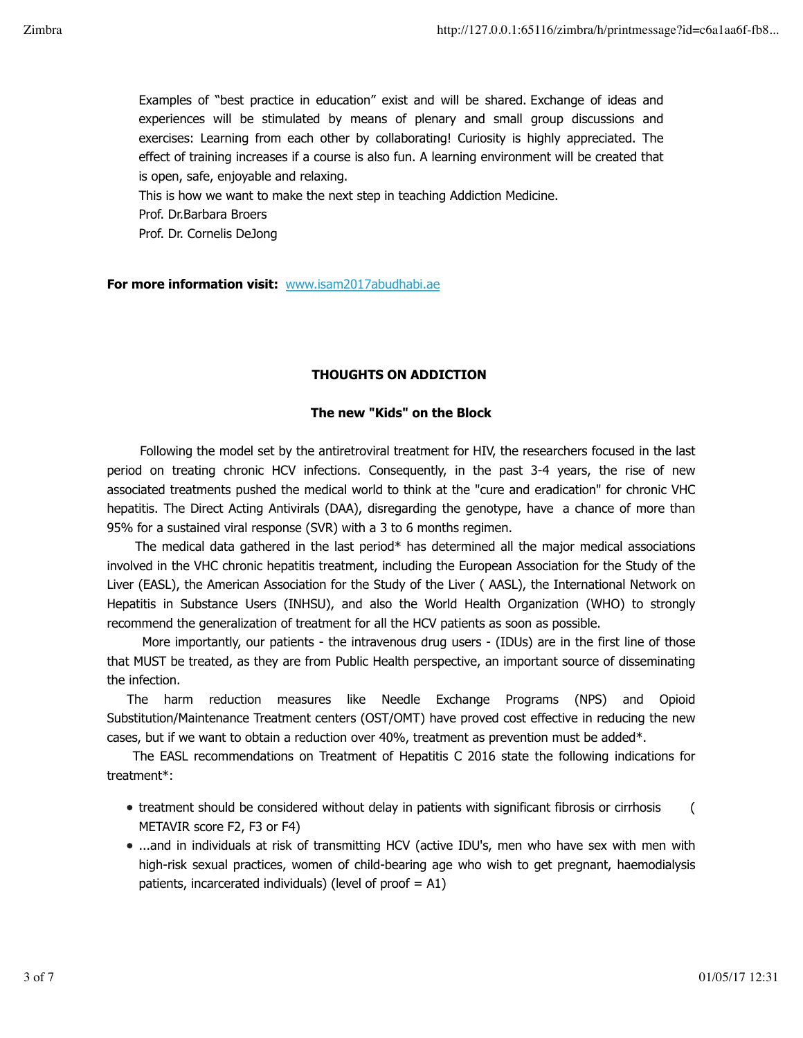Examples of "best practice in education" exist and will be shared. Exchange of ideas and experiences will be stimulated by means of plenary and small group discussions and exercises: Learning from each other by collaborating! Curiosity is highly appreciated. The effect of training increases if a course is also fun. A learning environment will be created that is open, safe, enjoyable and relaxing.

This is how we want to make the next step in teaching Addiction Medicine.

Prof. Dr.Barbara Broers

Prof. Dr. Cornelis DeJong

**For more information visit:** www.isam2017abudhabi.ae

### **THOUGHTS ON ADDICTION**

### **The new "Kids" on the Block**

 Following the model set by the antiretroviral treatment for HIV, the researchers focused in the last period on treating chronic HCV infections. Consequently, in the past 3-4 years, the rise of new associated treatments pushed the medical world to think at the "cure and eradication" for chronic VHC hepatitis. The Direct Acting Antivirals (DAA), disregarding the genotype, have a chance of more than 95% for a sustained viral response (SVR) with a 3 to 6 months regimen.

The medical data gathered in the last period\* has determined all the major medical associations involved in the VHC chronic hepatitis treatment, including the European Association for the Study of the Liver (EASL), the American Association for the Study of the Liver ( AASL), the International Network on Hepatitis in Substance Users (INHSU), and also the World Health Organization (WHO) to strongly recommend the generalization of treatment for all the HCV patients as soon as possible.

More importantly, our patients - the intravenous drug users - (IDUs) are in the first line of those that MUST be treated, as they are from Public Health perspective, an important source of disseminating the infection.

 The harm reduction measures like Needle Exchange Programs (NPS) and Opioid Substitution/Maintenance Treatment centers (OST/OMT) have proved cost effective in reducing the new cases, but if we want to obtain a reduction over 40%, treatment as prevention must be added\*.

 The EASL recommendations on Treatment of Hepatitis C 2016 state the following indications for treatment\*:

- treatment should be considered without delay in patients with significant fibrosis or cirrhosis ( METAVIR score F2, F3 or F4)
- ...and in individuals at risk of transmitting HCV (active IDU's, men who have sex with men with high-risk sexual practices, women of child-bearing age who wish to get pregnant, haemodialysis patients, incarcerated individuals) (level of proof  $=$  A1)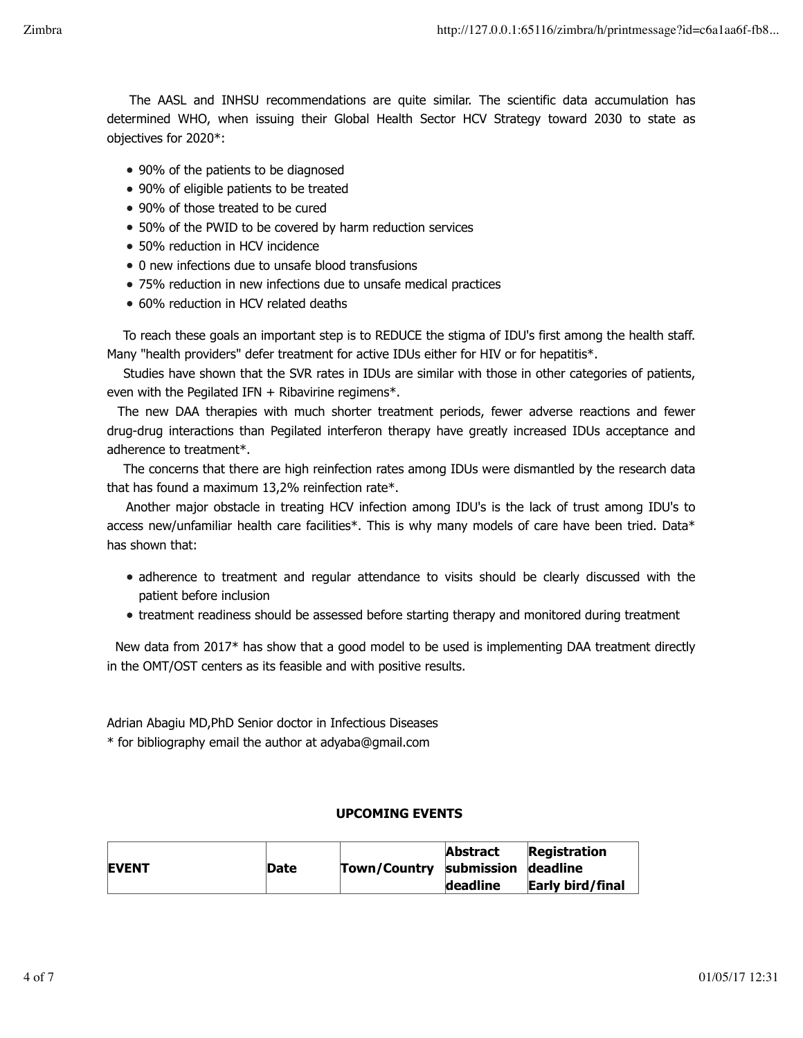The AASL and INHSU recommendations are quite similar. The scientific data accumulation has determined WHO, when issuing their Global Health Sector HCV Strategy toward 2030 to state as objectives for 2020\*:

- 90% of the patients to be diagnosed
- 90% of eligible patients to be treated
- 90% of those treated to be cured
- 50% of the PWID to be covered by harm reduction services
- 50% reduction in HCV incidence
- 0 new infections due to unsafe blood transfusions
- 75% reduction in new infections due to unsafe medical practices
- 60% reduction in HCV related deaths

 To reach these goals an important step is to REDUCE the stigma of IDU's first among the health staff. Many "health providers" defer treatment for active IDUs either for HIV or for hepatitis\*.

 Studies have shown that the SVR rates in IDUs are similar with those in other categories of patients, even with the Pegilated IFN  $+$  Ribavirine regimens\*.

 The new DAA therapies with much shorter treatment periods, fewer adverse reactions and fewer drug-drug interactions than Pegilated interferon therapy have greatly increased IDUs acceptance and adherence to treatment\*.

 The concerns that there are high reinfection rates among IDUs were dismantled by the research data that has found a maximum 13,2% reinfection rate\*.

 Another major obstacle in treating HCV infection among IDU's is the lack of trust among IDU's to access new/unfamiliar health care facilities\*. This is why many models of care have been tried. Data\* has shown that:

- adherence to treatment and regular attendance to visits should be clearly discussed with the patient before inclusion
- treatment readiness should be assessed before starting therapy and monitored during treatment

 New data from 2017\* has show that a good model to be used is implementing DAA treatment directly in the OMT/OST centers as its feasible and with positive results.

Adrian Abagiu MD,PhD Senior doctor in Infectious Diseases

\* for bibliography email the author at adyaba@gmail.com

#### **UPCOMING EVENTS**

| <b>EVENT</b> | Date | Town/Country submission deadline | <b>Abstract</b> | <b>Registration</b> |
|--------------|------|----------------------------------|-----------------|---------------------|
|              |      |                                  | deadline        | Early bird/final    |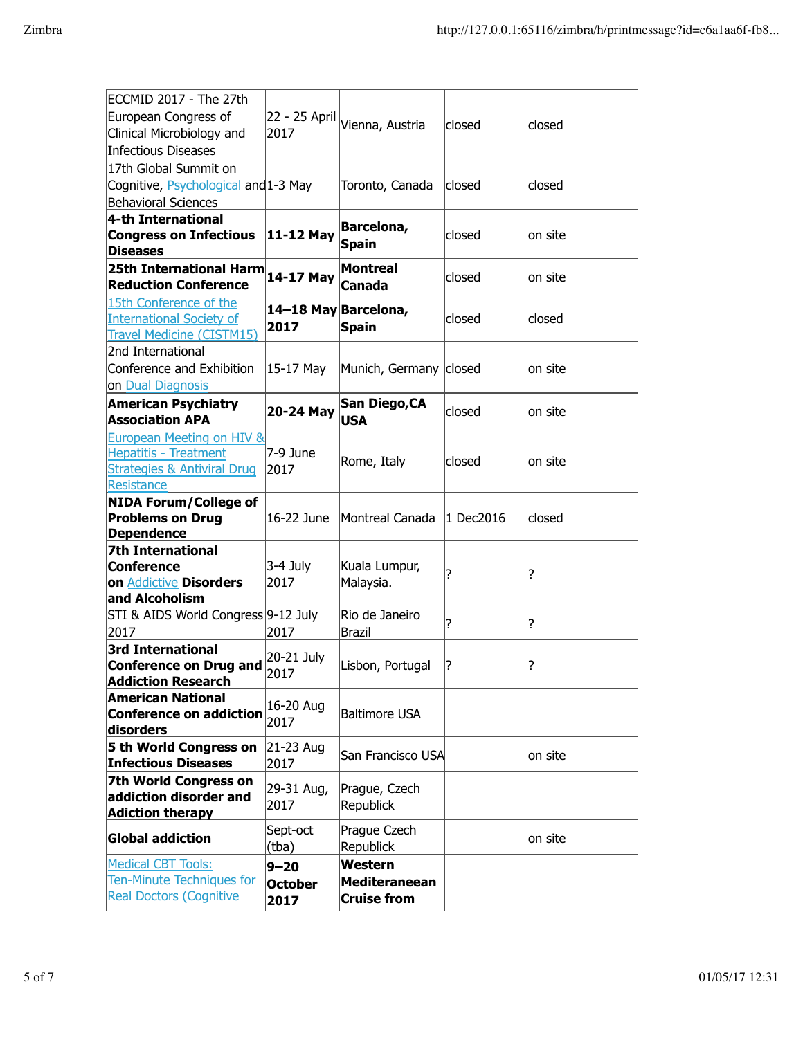| ECCMID 2017 - The 27th                 |                      |                                              |           |          |
|----------------------------------------|----------------------|----------------------------------------------|-----------|----------|
| European Congress of                   |                      | 22 - 25 April <mark> </mark> Vienna, Austria | closed    | closed   |
| Clinical Microbiology and              | 2017                 |                                              |           |          |
| Infectious Diseases                    |                      |                                              |           |          |
| 17th Global Summit on                  |                      |                                              |           |          |
| Cognitive, Psychological and 1-3 May   |                      | Toronto, Canada                              | closed    | closed   |
| <b>Behavioral Sciences</b>             |                      |                                              |           |          |
| 4-th International                     |                      | Barcelona,                                   |           |          |
| <b>Congress on Infectious</b>          | 11-12 May            |                                              | closed    | lon site |
| <b>Diseases</b>                        |                      | <b>Spain</b>                                 |           |          |
| 25th International Harm                | 14-17 May            | <b>Montreal</b>                              |           |          |
| <b>Reduction Conference</b>            |                      | Canada                                       | closed    | lon site |
| 15th Conference of the                 |                      |                                              |           |          |
| <b>International Society of</b>        | 14-18 May Barcelona, |                                              | closed    | closed   |
| <b>Travel Medicine (CISTM15)</b>       | 2017                 | <b>Spain</b>                                 |           |          |
| 2nd International                      |                      |                                              |           |          |
| Conference and Exhibition              | 15-17 May            | Munich, Germany closed                       |           | on site  |
| on Dual Diagnosis                      |                      |                                              |           |          |
| <b>American Psychiatry</b>             |                      | San Diego, CA                                |           |          |
| <b>Association APA</b>                 | 20-24 May            | <b>USA</b>                                   | closed    | on site  |
| European Meeting on HIV &              |                      |                                              |           |          |
| <b>Hepatitis - Treatment</b>           | 7-9 June             |                                              |           |          |
| <b>Strategies &amp; Antiviral Drug</b> | 2017                 | Rome, Italy                                  | closed    | lon site |
| Resistance                             |                      |                                              |           |          |
| <b>NIDA Forum/College of</b>           |                      |                                              |           |          |
| <b>Problems on Drug</b>                | 16-22 June           | Montreal Canada                              | 1 Dec2016 | closed   |
| Dependence                             |                      |                                              |           |          |
| <b>7th International</b>               |                      |                                              |           |          |
| Conference                             | 3-4 July             | Kuala Lumpur,                                | ?         |          |
| on Addictive Disorders                 | 2017                 | Malaysia.                                    |           | ?        |
| and Alcoholism                         |                      |                                              |           |          |
| STI & AIDS World Congress 9-12 July    |                      | Rio de Janeiro                               | 7         |          |
| 2017                                   | 2017                 | Brazil                                       |           | ?        |
| <b>3rd International</b>               |                      |                                              |           |          |
| <b>Conference on Drug and</b>          | 20-21 July           | Lisbon, Portugal                             | ?         | ?        |
| <b>Addiction Research</b>              | 2017                 |                                              |           |          |
| <b>American National</b>               | 16-20 Aug            |                                              |           |          |
| <b>Conference on addiction</b>         | 2017                 | <b>Baltimore USA</b>                         |           |          |
| disorders                              |                      |                                              |           |          |
| 5 th World Congress on                 | 21-23 Aug            | San Francisco USA                            |           | on site  |
| <b>Infectious Diseases</b>             | 2017                 |                                              |           |          |
| <b>7th World Congress on</b>           | 29-31 Aug,           | Prague, Czech                                |           |          |
| addiction disorder and                 | 2017                 | <b>Republick</b>                             |           |          |
| <b>Adiction therapy</b>                |                      |                                              |           |          |
| <b>Global addiction</b>                | Sept-oct             | Prague Czech                                 |           | lon site |
|                                        | (tba)                | <b>Republick</b>                             |           |          |
| <b>Medical CBT Tools:</b>              | $9 - 20$             | Western                                      |           |          |
| <b>Ten-Minute Techniques for</b>       | <b>October</b>       | <b>Mediteraneean</b>                         |           |          |
| <b>Real Doctors (Cognitive</b>         | 2017                 | <b>Cruise from</b>                           |           |          |
|                                        |                      |                                              |           |          |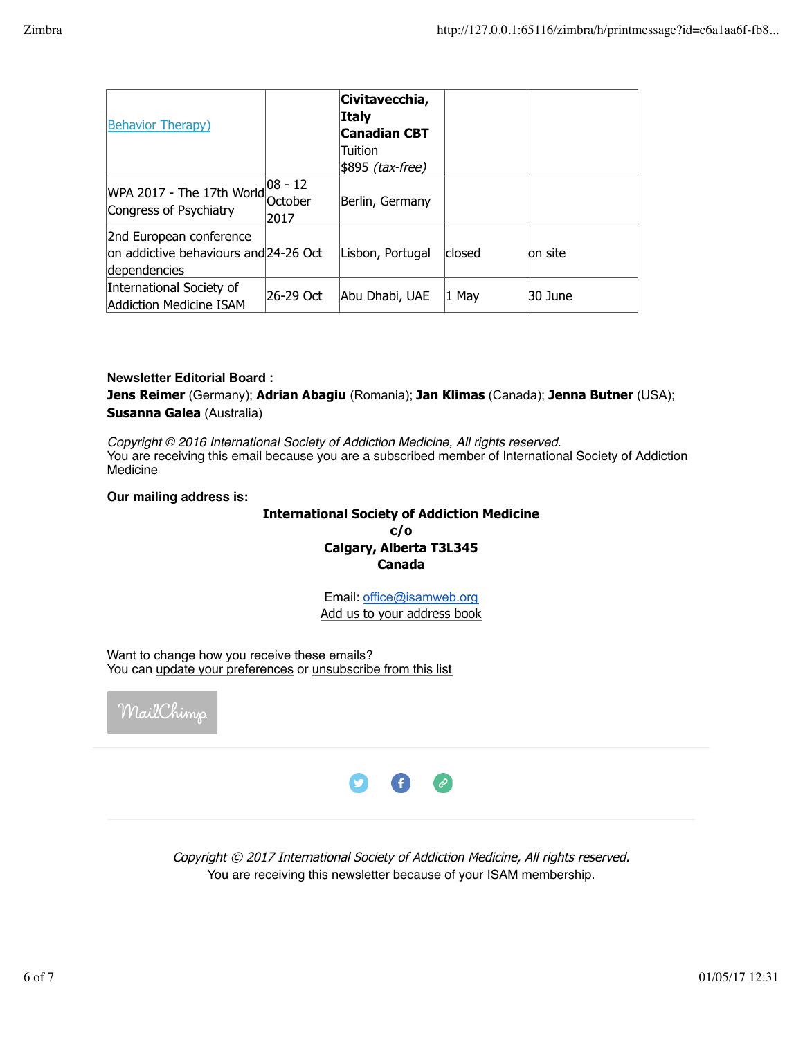| <b>Behavior Therapy)</b>                                                         |                                 | Civitavecchia,<br><b>Italy</b><br><b>Canadian CBT</b><br>Tuition<br>\$895 <i>(tax-free)</i> |        |          |
|----------------------------------------------------------------------------------|---------------------------------|---------------------------------------------------------------------------------------------|--------|----------|
| WPA 2017 - The 17th World<br>Congress of Psychiatry                              | $ 08 - 12 $<br>lOctober<br>2017 | Berlin, Germany                                                                             |        |          |
| 2nd European conference<br>on addictive behaviours and 24-26 Oct<br>dependencies |                                 | Lisbon, Portugal                                                                            | closed | lon site |
| International Society of<br>Addiction Medicine ISAM                              | 26-29 Oct                       | Abu Dhabi, UAE                                                                              | 1 May  | 30 June  |

#### **Newsletter Editorial Board :**

**Jens Reimer** (Germany); **Adrian Abagiu** (Romania); **Jan Klimas** (Canada); **Jenna Butner** (USA); **Susanna Galea** (Australia)

*Copyright © 2016 International Society of Addiction Medicine, All rights reserved.* You are receiving this email because you are a subscribed member of International Society of Addiction Medicine

**Our mailing address is:**

# **International Society of Addiction Medicine c/o**

**Calgary, Alberta T3L345 Canada**

Email: office@isamweb.org Add us to your address book

Want to change how you receive these emails? You can update your preferences or unsubscribe from this list





Copyright © 2017 International Society of Addiction Medicine, All rights reserved. You are receiving this newsletter because of your ISAM membership.